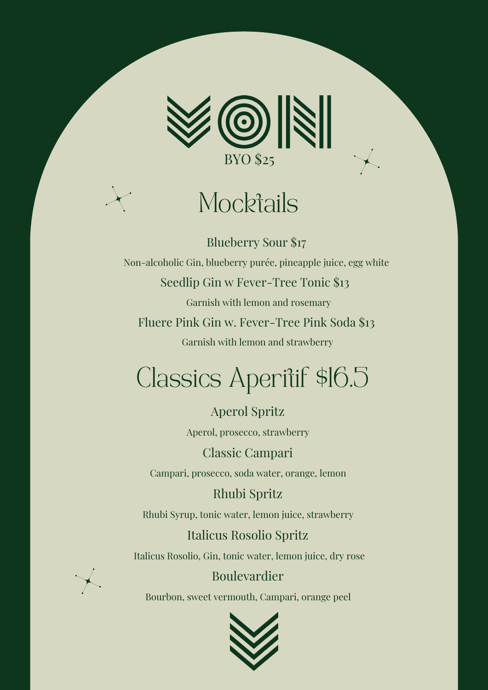

## **Mocktails**

Blueberry Sour \$17 Non-alcoholic Gin, blueberry purée, pineapple juice, egg white Seedlip Gin w Fever-Tree Tonic \$13 Garnish with lemon and rosemary Fluere Pink Gin w. Fever-Tree Pink Soda \$13 Garnish with lemon and strawberry

## Classics Aperitif \$16.5

Aperol Spritz Aperol, prosecco, strawberry

Classic Campari Campari, prosecco, soda water, orange, lemon

Rhubi Spritz

Rhubi Syrup, tonic water, lemon juice, strawberry

#### Italicus Rosolio Spritz

Italicus Rosolio, Gin, tonic water, lemon juice, dry rose

### Boulevardier

Bourbon, sweet vermouth, Campari, orange peel

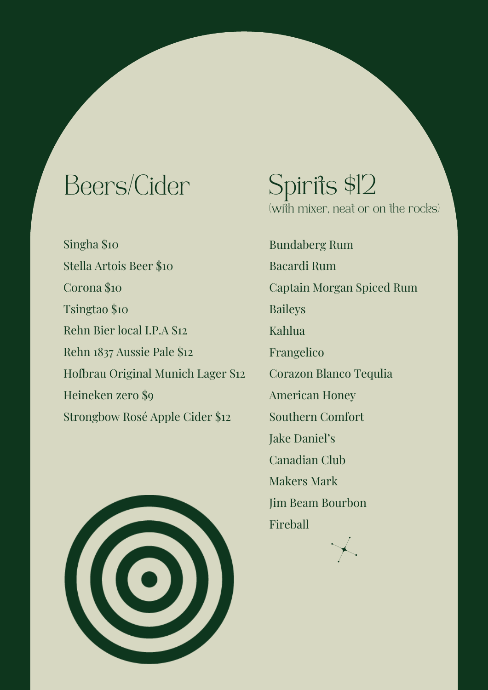## Beers/Cider

Singha \$10 Stella Artois Beer \$10 Corona \$10 Tsingtao \$10 Rehn Bier local I.P.A \$12 Rehn 1837 Aussie Pale \$12 Hofbrau Original Munich Lager \$12 Heineken zero \$9 Strongbow Rosé Apple Cider \$12



## Spirits \$12

(with mixer, neat or on the rocks)

Bundaberg Rum Bacardi Rum Captain Morgan Spiced Rum Baileys Kahlua Frangelico Corazon Blanco Tequlia American Honey Southern Comfort Jake Daniel's Canadian Club Makers Mark Jim Beam Bourbon Fireball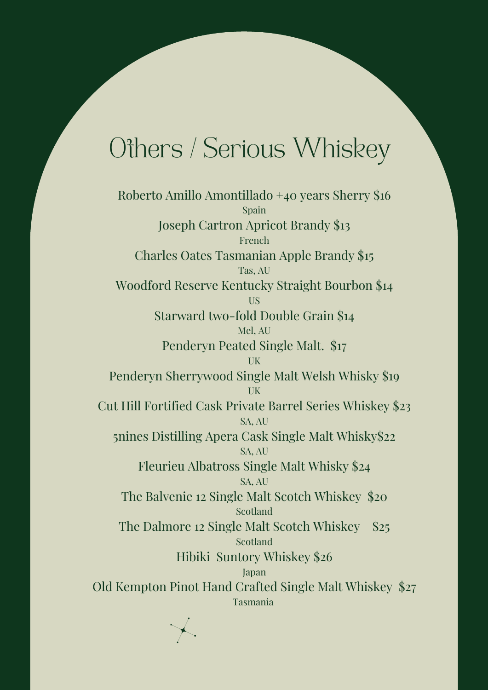### Others / Serious Whiskey

Roberto Amillo Amontillado +40 years Sherry \$16 Spain Joseph Cartron Apricot Brandy \$13 French Charles Oates Tasmanian Apple Brandy \$15 Tas, AU Woodford Reserve Kentucky Straight Bourbon \$14 US Starward two-fold Double Grain \$14 Mel, AU Penderyn Peated Single Malt. \$17 UK Penderyn Sherrywood Single Malt Welsh Whisky \$19 UK Cut Hill Fortified Cask Private Barrel Series Whiskey \$23 SA, AU 5nines Distilling Apera Cask Single Malt Whisky\$22 SA, AU Fleurieu Albatross Single Malt Whisky \$24 SA, AU The Balvenie 12 Single Malt Scotch Whiskey \$20 Scotland The Dalmore 12 Single Malt Scotch Whiskey \$25 Scotland Hibiki Suntory Whiskey \$26 Japan Old Kempton Pinot Hand Crafted Single Malt Whiskey \$27 Tasmania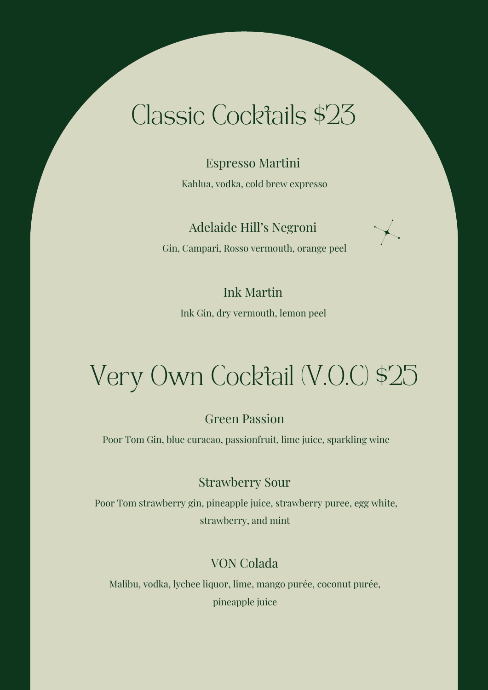### Classic Cocktails \$23

Espresso Martini Kahlua, vodka, cold brew expresso

Adelaide Hill's Negroni Gin, Campari, Rosso vermouth, orange peel

### Ink Martin

Ink Gin, dry vermouth, lemon peel

# Very Own Cocktail (V.O.C) \$25

#### Green Passion

Poor Tom Gin, blue curacao, passionfruit, lime juice, sparkling wine

#### Strawberry Sour

Poor Tom strawberry gin, pineapple juice, strawberry puree, egg white, strawberry, and mint

#### VON Colada

Malibu, vodka, lychee liquor, lime, mango purée, coconut purée, pineapple juice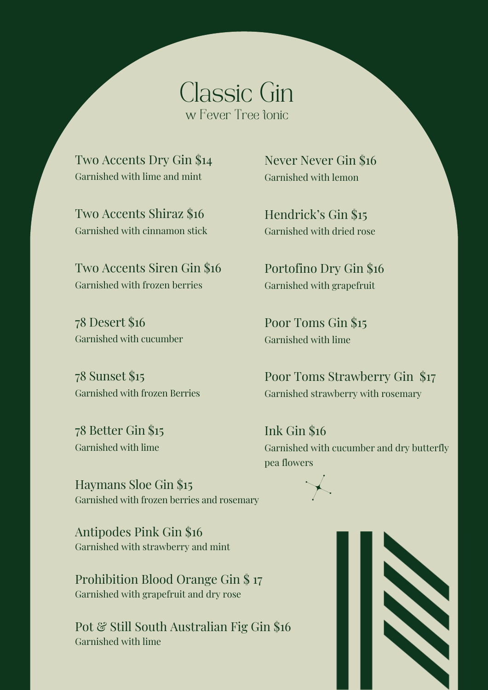Classic Gin w Fever Tree tonic

Two Accents Dry Gin \$14 Garnished with lime and mint

Two Accents Shiraz \$16 Garnished with cinnamon stick

Two Accents Siren Gin \$16 Garnished with frozen berries

78 Desert \$16 Garnished with cucumber

78 Sunset \$15 Garnished with frozen Berries

78 Better Gin \$15 Garnished with lime

Never Never Gin \$16 Garnished with lemon

Hendrick's Gin \$15 Garnished with dried rose

Portofino Dry Gin \$16 Garnished with grapefruit

Poor Toms Gin \$15 Garnished with lime

Poor Toms Strawberry Gin \$17 Garnished strawberry with rosemary

Ink Gin \$16 Garnished with cucumber and dry butterfly pea flowers

Haymans Sloe Gin \$15 Garnished with frozen berries and rosemary

Antipodes Pink Gin \$16 Garnished with strawberry and mint

Prohibition Blood Orange Gin \$ 17 Garnished with grapefruit and dry rose

Pot & Still South Australian Fig Gin \$16 Garnished with lime

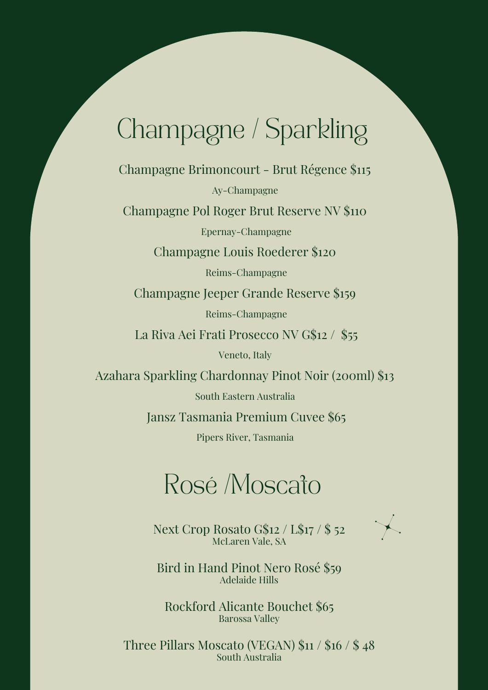## Champagne / Sparkling

Champagne Brimoncourt - Brut Régence \$115

Ay-Champagne

Champagne Pol Roger Brut Reserve NV \$110

Epernay-Champagne

Champagne Louis Roederer \$120

Reims-Champagne

Champagne Jeeper Grande Reserve \$159

Reims-Champagne

La Riva Aei Frati Prosecco NV G\$12 / \$55

Veneto, Italy

Azahara Sparkling Chardonnay Pinot Noir (200ml) \$13

South Eastern Australia

Jansz Tasmania Premium Cuvee \$65

Pipers River, Tasmania

### Rosé /Moscato

Next Crop Rosato G\$12 / L\$17 / \$ 52 McLaren Vale, SA



Bird in Hand Pinot Nero Rosé \$59 Adelaide Hills

Rockford Alicante Bouchet \$65 Barossa Valley

Three Pillars Moscato (VEGAN) \$11 / \$16 / \$ 48 South Australia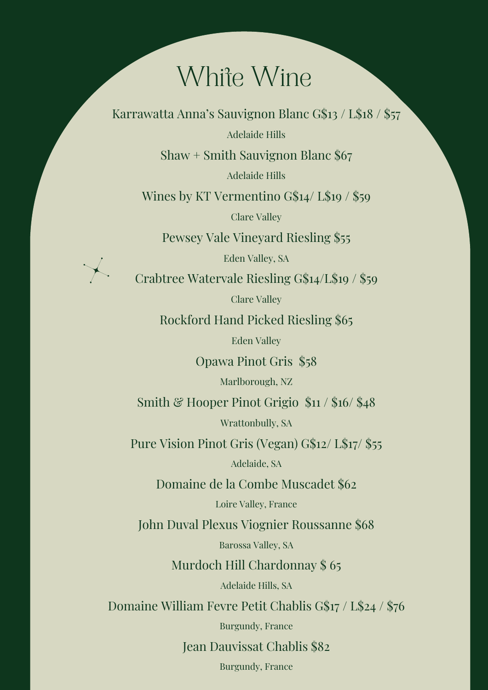### White Wine

Karrawatta Anna's Sauvignon Blanc G\$13 / L\$18 / \$57

Adelaide Hills

Shaw + Smith Sauvignon Blanc \$67

Adelaide Hills

Wines by KT Vermentino G\$14/ L\$19 / \$59

Clare Valley

Pewsey Vale Vineyard Riesling \$55

Eden Valley, SA

Crabtree Watervale Riesling G\$14/L\$19 / \$59

Clare Valley

Rockford Hand Picked Riesling \$65

Eden Valley

Opawa Pinot Gris \$58

Marlborough, NZ

Smith & Hooper Pinot Grigio  $$11 / $16 / $48$ 

Wrattonbully, SA

Pure Vision Pinot Gris (Vegan) G\$12/ L\$17/ \$55

Adelaide, SA

Domaine de la Combe Muscadet \$62

Loire Valley, France

John Duval Plexus Viognier Roussanne \$68

Barossa Valley, SA

Murdoch Hill Chardonnay \$ 65

Adelaide Hills, SA

Domaine William Fevre Petit Chablis G\$17 / L\$24 / \$76

Burgundy, France

Jean Dauvissat Chablis \$82

Burgundy, France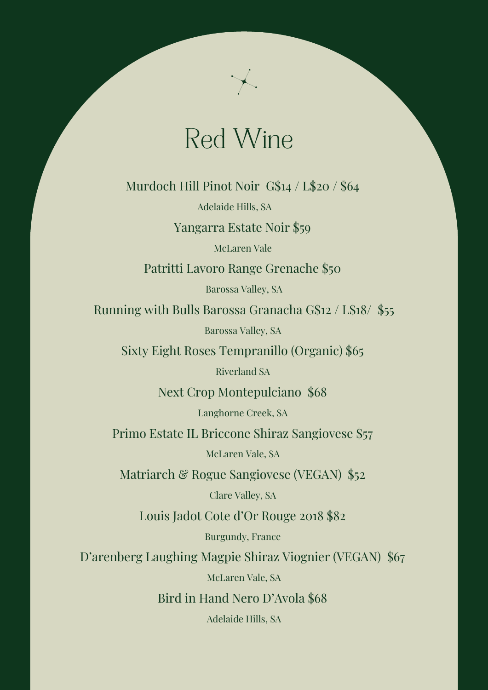### Red Wine

Murdoch Hill Pinot Noir G\$14 / L\$20 / \$64

Adelaide Hills, SA

Yangarra Estate Noir \$59

McLaren Vale

Patritti Lavoro Range Grenache \$50

Barossa Valley, SA

Running with Bulls Barossa Granacha G\$12 / L\$18/ \$55

Barossa Valley, SA

Sixty Eight Roses Tempranillo (Organic) \$65

Riverland SA

Next Crop Montepulciano \$68

Langhorne Creek, SA

Primo Estate IL Briccone Shiraz Sangiovese \$57

McLaren Vale, SA

Matriarch & Rogue Sangiovese (VEGAN) \$52

Clare Valley, SA

Louis Jadot Cote d'Or Rouge 2018 \$82

Burgundy, France

D'arenberg Laughing Magpie Shiraz Viognier (VEGAN) \$67

McLaren Vale, SA

Bird in Hand Nero D'Avola \$68

Adelaide Hills, SA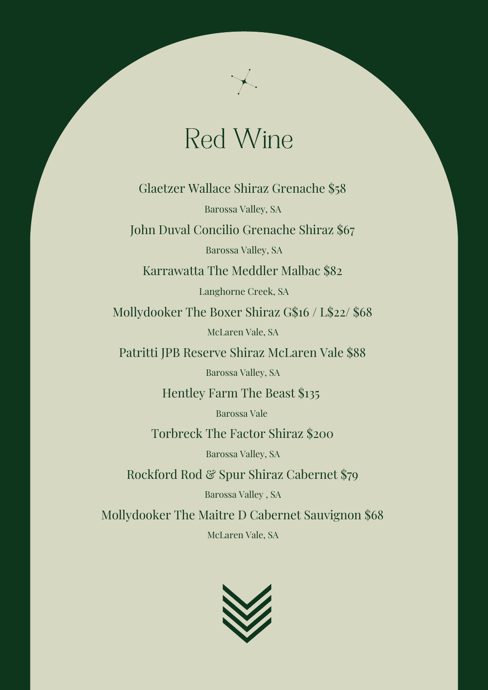## Red Wine

Glaetzer Wallace Shiraz Grenache \$58 Barossa Valley, SA John Duval Concilio Grenache Shiraz \$67

Barossa Valley, SA

Karrawatta The Meddler Malbac \$82

Langhorne Creek, SA

Mollydooker The Boxer Shiraz G\$16 / L\$22/ \$68 McLaren Vale, SA

Patritti JPB Reserve Shiraz McLaren Vale \$88

Barossa Valley, SA

Hentley Farm The Beast \$135

Barossa Vale

Torbreck The Factor Shiraz \$200

Barossa Valley, SA

Rockford Rod & Spur Shiraz Cabernet \$79

Barossa Valley , SA

Mollydooker The Maitre D Cabernet Sauvignon \$68 McLaren Vale, SA

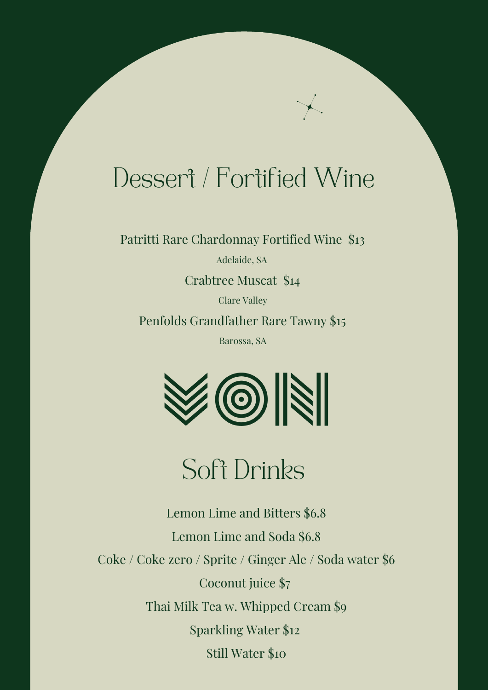## Dessert / Fortified Wine

Patritti Rare Chardonnay Fortified Wine \$13

Adelaide, SA

Crabtree Muscat \$14

Clare Valley Penfolds Grandfather Rare Tawny \$15

Barossa, SA



### Soft Drinks

Lemon Lime and Bitters \$6.8 Lemon Lime and Soda \$6.8 Coke / Coke zero / Sprite / Ginger Ale / Soda water \$6 Coconut juice \$7 Thai Milk Tea w. Whipped Cream \$9 Sparkling Water \$12 Still Water \$10